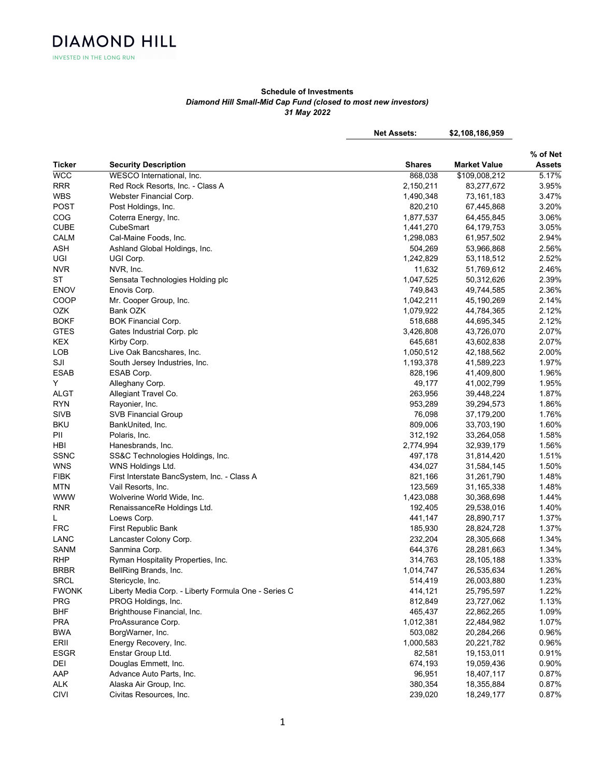**DIAMOND HILL INVESTED IN THE LONG RUN** 

## Schedule of Investments Diamond Hill Small-Mid Cap Fund (closed to most new investors) 31 May 2022

Net Assets: \$2,108,186,959

Ticker Security Description Shares Market Value Shares Market Value % of Net **Assets** WCC WESCO International, Inc. 6. 2010 12:00:00 12:00:00 12:00:00 12:00:00 12:00:00 12:00:00 12:00:00 12:00:00 1 RRR Red Rock Resorts, Inc. - Class A 2,150,211 83,277,672 3.95% WBS Webster Financial Corp. 1,490,348 73,161,183 3.47% POST Post Holdings, Inc. 820,210 67,445,868 3.20% COG Coterra Energy, Inc. 1,877,537 64,455,845 3.06% CUBE CubeSmart 1,441,270 64,179,753 3.05% CALM Cal-Maine Foods, Inc. 1,298,083 61,957,502 2.94% ASH Ashland Global Holdings, Inc. 504,269 53,966,868 2.56% UGI UGI Corp. 1,242,829 53,118,512 2.52% NVR NVR, Inc. 11,632 51,769,612 2.46% ST Sensata Technologies Holding plc 1,047,525 50,312,626 2.39% ENOV Enovis Corp. 749,843 49,744,585 2.36% COOP Mr. Cooper Group, Inc. 2002 2014 1,042,211 45,190,269 2.14% OZK Bank OZK 1,079,922 44,784,365 2.12% BOKF BOK Financial Corp. 6. 2.12% 6. 2.12% 518,688 518,688 518,688 518,688 518,688 518,688 512 72% GTES Gates Industrial Corp. plc 3,426,808 43,726,070 2.07% KEX Kirby Corp. 645,681 43,602,838 2.07% LOB Live Oak Bancshares, Inc. 1,050,512 42,188,562 2.00% SJI South Jersey Industries, Inc. 1,193,378 41,589,223 1.97% ESAB ESAB Corp. 828,196 41,409,800 1.96% Alleghany Corp. 1.95% and the corp. Alleghany Corp. 49,177 and 49,177 and 49,177 and 49,177 and 49,177 and 49,177 and 49,177 and 49,177 and 49,177 and 49,177 and 49,177 and 49,177 and 49,177 and 49,177 and 49,177 and 49,17 ALGT Allegiant Travel Co. 263,956 39,448,224 1.87% RYN Rayonier, Inc. 953,289 39,294,573 1.86% SIVB SVB Financial Group 76,098 37,179,200 1.76% BKU BankUnited, Inc. 809,006 1.60% BKU BankUnited, Inc. 809,006 1.60% PII Polaris, Inc. 312,192 33,264,058 1.58% HBI Hanesbrands, Inc. 2,774,994 32,939,179 1.56% SSNC SS&C Technologies Holdings, Inc. 497,178 31,814,420 1.51% WNS WINS Holdings Ltd. 434,027 31,584,145 1.50% FIBK First Interstate BancSystem, Inc. - Class A 621, 821, 821, 821, 821, 166 51, 81,261,790 6 1.48% MTN Vail Resorts, Inc. 2008 123,569 31,165,338 1.48% WWW Wolverine World Wide, Inc. 1,423,088 30,368,698 1.44% RNR RenaissanceRe Holdings Ltd. 192,405 29,538,016 1.40% L Loews Corp. 441,147 28,890,717 1.37% FRC First Republic Bank 1.37% and 185,930 28,824,728 1.37% LANC Lancaster Colony Corp. 232,204 28,305,668 1.34% SANM Sanmina Corp. 644,376 28,281,663 1.34% RHP Ryman Hospitality Properties, Inc. 314,763 28,105,188 1.33% BRBR BellRing Brands, Inc. 26,535,634 1.26% SRCL Stericycle, Inc. 514,419 26,003,880 1.23% FWONK Liberty Media Corp. - Liberty Formula One - Series C 414,121 25,795,597 1.22% PRG PROG Holdings, Inc. 2012 00:00 00:00 00:00 00:00 00:00 00:00 00:00 00:00 00:00 00:00 00:00 00:00 00:00 00:0 BHF Brighthouse Financial, Inc. 2008 109% and the state of the 465,437 22,862,265 1.09% PRA ProAssurance Corp. 2017 1,012,381 22,484,982 1.07% BWA BorgWarner, Inc. 503,082 20,284,266 0.96% ERII Energy Recovery, Inc. 1,000,583 20,221,782 0.96% ESGR Enstar Group Ltd. 2009 2009 2009 2009 2009 2014 2014 2015 2016 2017 2018 2019 2019 2019 2019 2019 2019 20 DEI Douglas Emmett, Inc. 674,193 19,059,436 0.90% AAP Advance Auto Parts, Inc. 2008 2009 10:00:00 18,407,117 10.87% ALK Alaska Air Group, Inc. 380,354 18,355,884 0.87% CIVI Civitas Resources, Inc. 239,020 18,249,177 0.87%